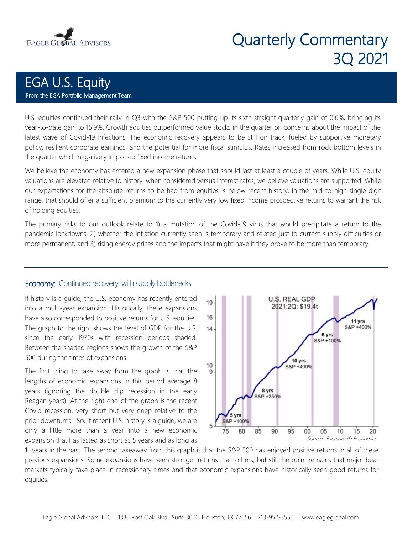

# Quarterly Commentary 3Q 2021

# EGA U.S. Equity From the EGA Portfolio Management Team

U.S. equities continued their rally in Q3 with the S&P 500 putting up its sixth straight quarterly gain of 0.6%, bringing its year-to-date gain to 15.9%. Growth equities outperformed value stocks in the quarter on concerns about the impact of the latest wave of Covid-19 infections. The economic recovery appears to be still on track, fueled by supportive monetary policy, resilient corporate earnings, and the potential for more fiscal stimulus. Rates increased from rock bottom levels in the quarter which negatively impacted fixed income returns.

We believe the economy has entered a new expansion phase that should last at least a couple of years. While U.S. equity valuations are elevated relative to history, when considered versus interest rates, we believe valuations are supported. While our expectations for the absolute returns to be had from equities is below recent history, in the mid-to-high single digit range, that should offer a sufficient premium to the currently very low fixed income prospective returns to warrant the risk of holding equities.

The primary risks to our outlook relate to 1) a mutation of the Covid-19 virus that would precipitate a return to the pandemic lockdowns, 2) whether the inflation currently seen is temporary and related just to current supply difficulties or more permanent, and 3) rising energy prices and the impacts that might have if they prove to be more than temporary.

#### **Economy:** Continued recovery, with supply bottlenecks

If history is a guide, the U.S. economy has recently entered into a multi-year expansion. Historically, these expansions have also corresponded to positive returns for U.S. equities. The graph to the right shows the level of GDP for the U.S. since the early 1970s with recession periods shaded. Between the shaded regions shows the growth of the S&P 500 during the times of expansions.

The first thing to take away from the graph is that the lengths of economic expansions in this period average 8 years (ignoring the double dip recession in the early Reagan years). At the right end of the graph is the recent Covid recession, very short but very deep relative to the prior downturns. So, if recent U.S. history is a guide, we are only a little more than a year into a new economic expansion that has lasted as short as 5 years and as long as



11 years in the past. The second takeaway from this graph is that the S&P 500 has enjoyed positive returns in all of these previous expansions. Some expansions have seen stronger returns than others, but still the point remains that major bear markets typically take place in recessionary times and that economic expansions have historically seen good returns for equities.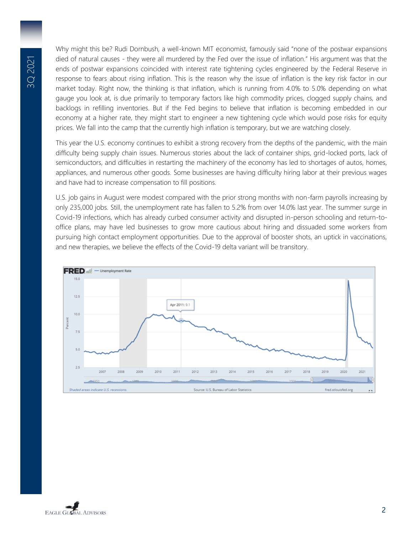Why might this be? Rudi Dornbush, a well-known MIT economist, famously said "none of the postwar expansions died of natural causes - they were all murdered by the Fed over the issue of inflation." His argument was that the ends of postwar expansions coincided with interest rate tightening cycles engineered by the Federal Reserve in response to fears about rising inflation. This is the reason why the issue of inflation is the key risk factor in our market today. Right now, the thinking is that inflation, which is running from 4.0% to 5.0% depending on what gauge you look at, is due primarily to temporary factors like high commodity prices, clogged supply chains, and backlogs in refilling inventories. But if the Fed begins to believe that inflation is becoming embedded in our economy at a higher rate, they might start to engineer a new tightening cycle which would pose risks for equity prices. We fall into the camp that the currently high inflation is temporary, but we are watching closely.

This year the U.S. economy continues to exhibit a strong recovery from the depths of the pandemic, with the main difficulty being supply chain issues. Numerous stories about the lack of container ships, grid-locked ports, lack of semiconductors, and difficulties in restarting the machinery of the economy has led to shortages of autos, homes, appliances, and numerous other goods. Some businesses are having difficulty hiring labor at their previous wages and have had to increase compensation to fill positions.

U.S. job gains in August were modest compared with the prior strong months with non-farm payrolls increasing by only 235,000 jobs. Still, the unemployment rate has fallen to 5.2% from over 14.0% last year. The summer surge in Covid-19 infections, which has already curbed consumer activity and disrupted in-person schooling and return-tooffice plans, may have led businesses to grow more cautious about hiring and dissuaded some workers from pursuing high contact employment opportunities. Due to the approval of booster shots, an uptick in vaccinations, and new therapies, we believe the effects of the Covid-19 delta variant will be transitory.



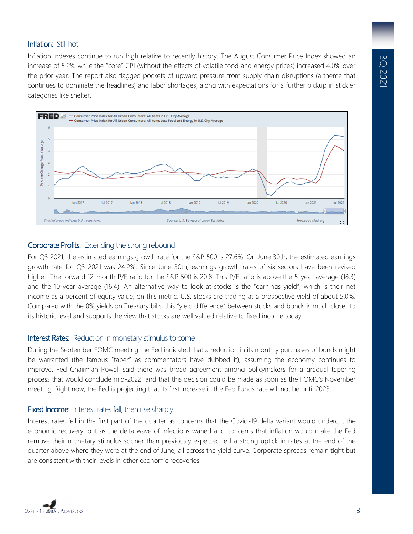# Inflation: Still hot

Inflation indexes continue to run high relative to recently history. The August Consumer Price Index showed an increase of 5.2% while the "core" CPI (without the effects of volatile food and energy prices) increased 4.0% over the prior year. The report also flagged pockets of upward pressure from supply chain disruptions (a theme that continues to dominate the headlines) and labor shortages, along with expectations for a further pickup in stickier categories like shelter.



### Corporate Profits: Extending the strong rebound

For Q3 2021, the estimated earnings growth rate for the S&P 500 is 27.6%. On June 30th, the estimated earnings growth rate for Q3 2021 was 24.2%. Since June 30th, earnings growth rates of six sectors have been revised higher. The forward 12-month P/E ratio for the S&P 500 is 20.8. This P/E ratio is above the 5-year average (18.3) and the 10-year average (16.4). An alternative way to look at stocks is the "earnings yield", which is their net income as a percent of equity value; on this metric, U.S. stocks are trading at a prospective yield of about 5.0%. Compared with the 0% yields on Treasury bills, this "yield difference" between stocks and bonds is much closer to its historic level and supports the view that stocks are well valued relative to fixed income today.

#### Interest Rates: Reduction in monetary stimulus to come

During the September FOMC meeting the Fed indicated that a reduction in its monthly purchases of bonds might be warranted (the famous "taper" as commentators have dubbed it), assuming the economy continues to improve. Fed Chairman Powell said there was broad agreement among policymakers for a gradual tapering process that would conclude mid-2022, and that this decision could be made as soon as the FOMC's November meeting. Right now, the Fed is projecting that its first increase in the Fed Funds rate will not be until 2023.

# Fixed Income: Interest rates fall, then rise sharply

Interest rates fell in the first part of the quarter as concerns that the Covid-19 delta variant would undercut the economic recovery, but as the delta wave of infections waned and concerns that inflation would make the Fed remove their monetary stimulus sooner than previously expected led a strong uptick in rates at the end of the quarter above where they were at the end of June, all across the yield curve. Corporate spreads remain tight but are consistent with their levels in other economic recoveries.